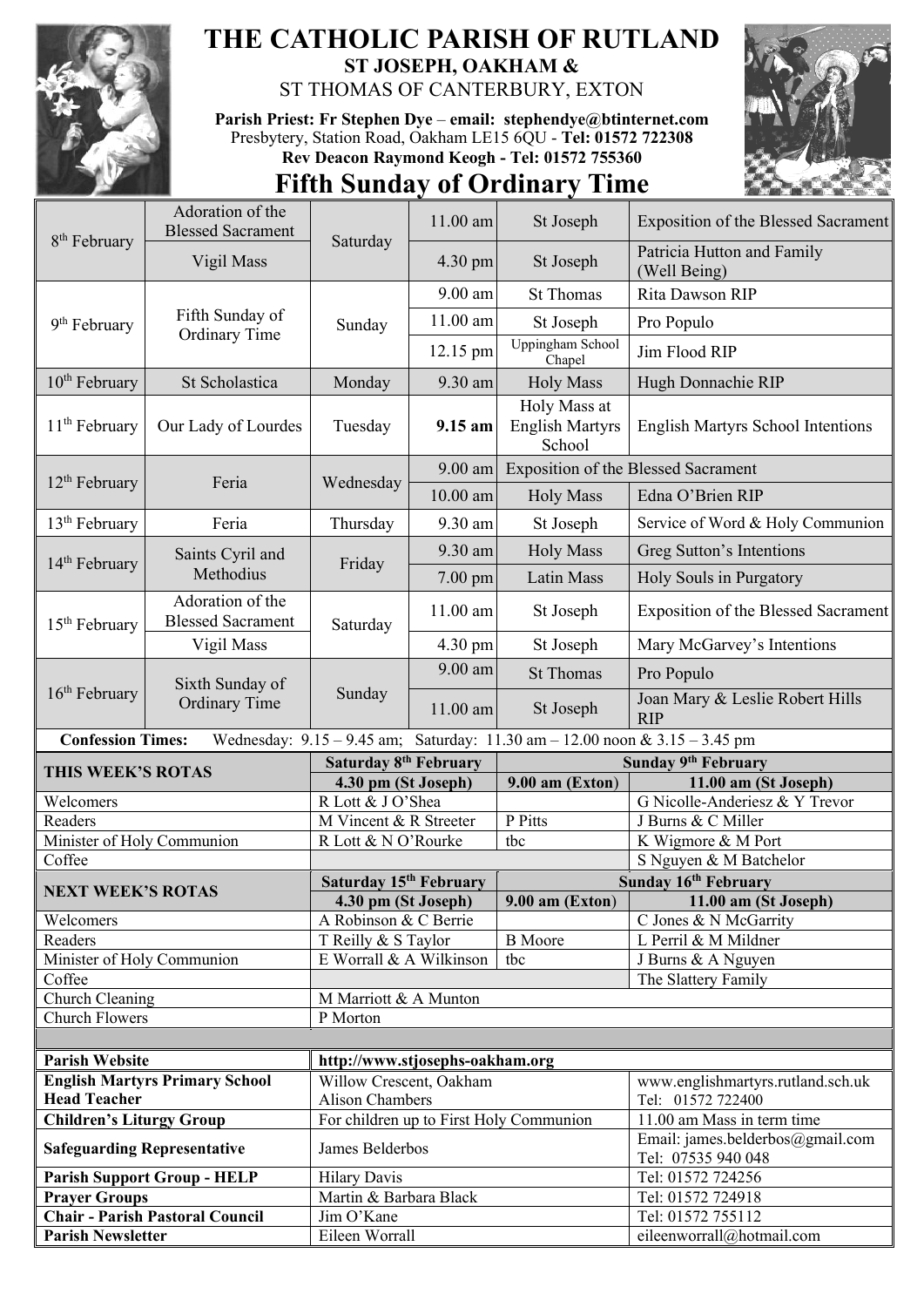

## **THE CATHOLIC PARISH OF RUTLAND ST JOSEPH, OAKHAM &**

ST THOMAS OF CANTERBURY, EXTON

**Parish Priest: Fr Stephen Dye** – **[email: stephendye@btinternet.com](mailto:email:%20%20stephendye@btinternet.com)** Presbytery, Station Road, Oakham LE15 6QU - **Tel: 01572 722308 Rev Deacon Raymond Keogh - Tel: 01572 755360**



## **Fifth Sunday of Ordinary Time**

| 8 <sup>th</sup> February              | Adoration of the<br><b>Blessed Sacrament</b> | Saturday                                       | 11.00 am   | St Joseph                                                                   | <b>Exposition of the Blessed Sacrament</b>             |
|---------------------------------------|----------------------------------------------|------------------------------------------------|------------|-----------------------------------------------------------------------------|--------------------------------------------------------|
|                                       | Vigil Mass                                   |                                                | 4.30 pm    | St Joseph                                                                   | Patricia Hutton and Family<br>(Well Being)             |
|                                       | Fifth Sunday of<br>Ordinary Time             | Sunday                                         | $9.00$ am  | <b>St Thomas</b>                                                            | Rita Dawson RIP                                        |
| 9 <sup>th</sup> February              |                                              |                                                | 11.00 am   | St Joseph                                                                   | Pro Populo                                             |
|                                       |                                              |                                                | 12.15 pm   | <b>Uppingham School</b><br>Chapel                                           | Jim Flood RIP                                          |
| 10 <sup>th</sup> February             | St Scholastica                               | Monday                                         | 9.30 am    | <b>Holy Mass</b>                                                            | Hugh Donnachie RIP                                     |
| $11th$ February                       | Our Lady of Lourdes                          | Tuesday                                        | 9.15 am    | Holy Mass at<br><b>English Martyrs</b><br>School                            | <b>English Martyrs School Intentions</b>               |
| $12th$ February                       | Feria                                        | Wednesday                                      | $9.00$ am  | <b>Exposition of the Blessed Sacrament</b>                                  |                                                        |
|                                       |                                              |                                                | $10.00$ am | <b>Holy Mass</b>                                                            | Edna O'Brien RIP                                       |
| $13th$ February                       | Feria                                        | Thursday                                       | 9.30 am    | St Joseph                                                                   | Service of Word & Holy Communion                       |
|                                       | Saints Cyril and<br>Methodius                | Friday                                         | 9.30 am    | <b>Holy Mass</b>                                                            | Greg Sutton's Intentions                               |
| 14 <sup>th</sup> February             |                                              |                                                | 7.00 pm    | Latin Mass                                                                  | Holy Souls in Purgatory                                |
| 15 <sup>th</sup> February             | Adoration of the<br><b>Blessed Sacrament</b> | Saturday                                       | $11.00$ am | St Joseph                                                                   | <b>Exposition of the Blessed Sacrament</b>             |
|                                       | Vigil Mass                                   |                                                | 4.30 pm    | St Joseph                                                                   | Mary McGarvey's Intentions                             |
|                                       | Sixth Sunday of<br><b>Ordinary Time</b>      | Sunday                                         | 9.00 am    | <b>St Thomas</b>                                                            | Pro Populo                                             |
| $16th$ February                       |                                              |                                                | 11.00 am   | St Joseph                                                                   | Joan Mary & Leslie Robert Hills<br><b>RIP</b>          |
|                                       |                                              |                                                |            |                                                                             |                                                        |
| <b>Confession Times:</b>              |                                              |                                                |            | Wednesday: 9.15 - 9.45 am; Saturday: 11.30 am - 12.00 noon & 3.15 - 3.45 pm |                                                        |
|                                       |                                              | Saturday 8 <sup>th</sup> February              |            |                                                                             | Sunday 9th February                                    |
| <b>THIS WEEK'S ROTAS</b>              |                                              | 4.30 pm (St Joseph)                            |            | $9.00$ am (Exton)                                                           | 11.00 am (St Joseph)                                   |
| Welcomers                             |                                              | R Lott & J O'Shea                              |            |                                                                             | G Nicolle-Anderiesz & Y Trevor                         |
| Readers                               |                                              | M Vincent & R Streeter                         |            | P Pitts                                                                     | J Burns & C Miller                                     |
| Minister of Holy Communion            |                                              | R Lott & N O'Rourke                            |            | tbc                                                                         | K Wigmore & M Port                                     |
| Coffee                                |                                              |                                                |            |                                                                             | S Nguyen & M Batchelor                                 |
| <b>NEXT WEEK'S ROTAS</b>              |                                              | Saturday 15th February                         |            |                                                                             | Sunday 16th February                                   |
|                                       |                                              | 4.30 pm (St Joseph)                            |            |                                                                             | 9.00 am (Exton) 11.00 am (St Joseph)                   |
| Welcomers                             |                                              | A Robinson & C Berrie                          |            | <b>B</b> Moore                                                              | C Jones & N McGarrity<br>L Perril & M Mildner          |
| Readers<br>Minister of Holy Communion |                                              | T Reilly & S Taylor<br>E Worrall & A Wilkinson |            | tbc                                                                         |                                                        |
| Coffee                                |                                              |                                                |            |                                                                             | J Burns & A Nguyen<br>The Slattery Family              |
| Church Cleaning                       |                                              | M Marriott & A Munton                          |            |                                                                             |                                                        |
| <b>Church Flowers</b>                 |                                              | P Morton                                       |            |                                                                             |                                                        |
|                                       |                                              |                                                |            |                                                                             |                                                        |
| <b>Parish Website</b>                 |                                              | http://www.stjosephs-oakham.org                |            |                                                                             |                                                        |
|                                       | <b>English Martyrs Primary School</b>        | Willow Crescent, Oakham                        |            |                                                                             | www.englishmartyrs.rutland.sch.uk                      |
| <b>Head Teacher</b>                   |                                              | <b>Alison Chambers</b>                         |            |                                                                             | Tel: 01572 722400                                      |
| <b>Children's Liturgy Group</b>       |                                              |                                                |            | For children up to First Holy Communion                                     | 11.00 am Mass in term time                             |
| <b>Safeguarding Representative</b>    |                                              | James Belderbos                                |            |                                                                             | Email: james.belderbos@gmail.com<br>Tel: 07535 940 048 |
|                                       | <b>Parish Support Group - HELP</b>           | <b>Hilary Davis</b>                            |            |                                                                             | Tel: 01572 724256                                      |
| <b>Prayer Groups</b>                  |                                              | Martin & Barbara Black                         |            |                                                                             | Tel: 01572 724918                                      |
|                                       | <b>Chair - Parish Pastoral Council</b>       | Jim O'Kane                                     |            |                                                                             | Tel: 01572 755112                                      |